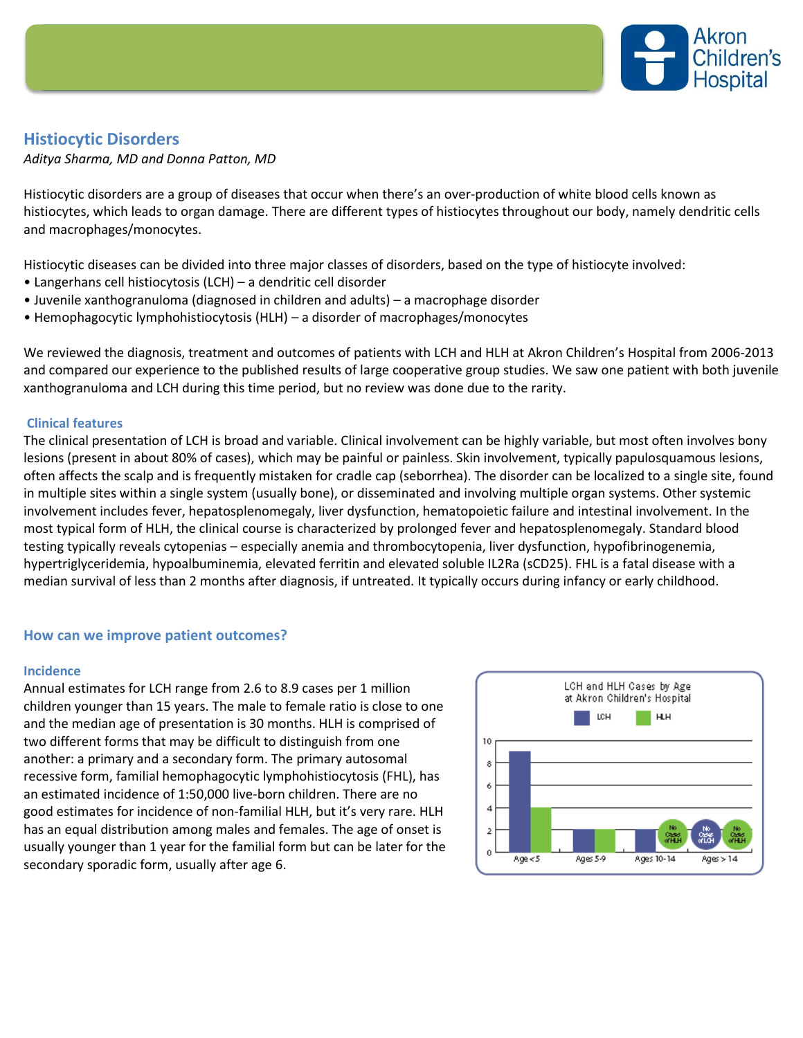

# **Histiocytic Disorders**

*Aditya Sharma, MD and Donna Patton, MD*

Histiocytic disorders are a group of diseases that occur when there's an over-production of white blood cells known as histiocytes, which leads to organ damage. There are different types of histiocytes throughout our body, namely dendritic cells and macrophages/monocytes.

Histiocytic diseases can be divided into three major classes of disorders, based on the type of histiocyte involved:

- Langerhans cell histiocytosis (LCH) a dendritic cell disorder
- Juvenile xanthogranuloma (diagnosed in children and adults) a macrophage disorder
- Hemophagocytic lymphohistiocytosis (HLH) a disorder of macrophages/monocytes

We reviewed the diagnosis, treatment and outcomes of patients with LCH and HLH at Akron Children's Hospital from 2006-2013 and compared our experience to the published results of large cooperative group studies. We saw one patient with both juvenile xanthogranuloma and LCH during this time period, but no review was done due to the rarity.

# **Clinical features**

The clinical presentation of LCH is broad and variable. Clinical involvement can be highly variable, but most often involves bony lesions (present in about 80% of cases), which may be painful or painless. Skin involvement, typically papulosquamous lesions, often affects the scalp and is frequently mistaken for cradle cap (seborrhea). The disorder can be localized to a single site, found in multiple sites within a single system (usually bone), or disseminated and involving multiple organ systems. Other systemic involvement includes fever, hepatosplenomegaly, liver dysfunction, hematopoietic failure and intestinal involvement. In the most typical form of HLH, the clinical course is characterized by prolonged fever and hepatosplenomegaly. Standard blood testing typically reveals cytopenias – especially anemia and thrombocytopenia, liver dysfunction, hypofibrinogenemia, hypertriglyceridemia, hypoalbuminemia, elevated ferritin and elevated soluble IL2Ra (sCD25). FHL is a fatal disease with a median survival of less than 2 months after diagnosis, if untreated. It typically occurs during infancy or early childhood.

## **How can we improve patient outcomes?**

## **Incidence**

Annual estimates for LCH range from 2.6 to 8.9 cases per 1 million children younger than 15 years. The male to female ratio is close to one and the median age of presentation is 30 months. HLH is comprised of two different forms that may be difficult to distinguish from one another: a primary and a secondary form. The primary autosomal recessive form, familial hemophagocytic lymphohistiocytosis (FHL), has an estimated incidence of 1:50,000 live-born children. There are no good estimates for incidence of non-familial HLH, but it's very rare. HLH has an equal distribution among males and females. The age of onset is usually younger than 1 year for the familial form but can be later for the secondary sporadic form, usually after age 6.